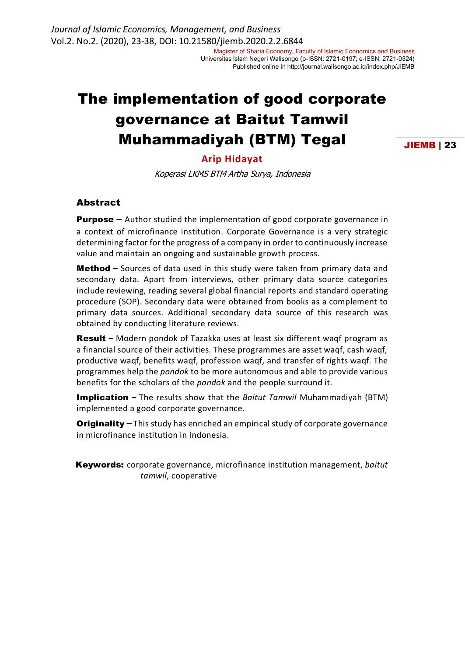Universitas Islam Negeri Walisongo (p-ISSN: 2721-0197; e-ISSN: 2721-0324) Published online in http://journal.walisongo.ac.id/index.php/JIEMB

# The implementation of good corporate governance at Baitut Tamwil Muhammadiyah (BTM) Tegal

JIEMB | 23

#### **Arip Hidayat**

Koperasi LKMS BTM Artha Surya, Indonesia

#### Abstract

**Purpose** – Author studied the implementation of good corporate governance in a context of microfinance institution. Corporate Governance is a very strategic determining factor for the progress of a company in order to continuously increase value and maintain an ongoing and sustainable growth process.

Method **–** Sources of data used in this study were taken from primary data and secondary data. Apart from interviews, other primary data source categories include reviewing, reading several global financial reports and standard operating procedure (SOP). Secondary data were obtained from books as a complement to primary data sources. Additional secondary data source of this research was obtained by conducting literature reviews.

Result **–** Modern pondok of Tazakka uses at least six different waqf program as a financial source of their activities. These programmes are asset waqf, cash waqf, productive waqf, benefits waqf, profession waqf, and transfer of rights waqf. The programmes help the *pondok* to be more autonomous and able to provide various benefits for the scholars of the *pondok* and the people surround it.

Implication **–** The results show that the *Baitut Tamwil* Muhammadiyah (BTM) implemented a good corporate governance.

Originality **–** This study has enriched an empirical study of corporate governance in microfinance institution in Indonesia.

Keywords: corporate governance, microfinance institution management, *baitut tamwil*, cooperative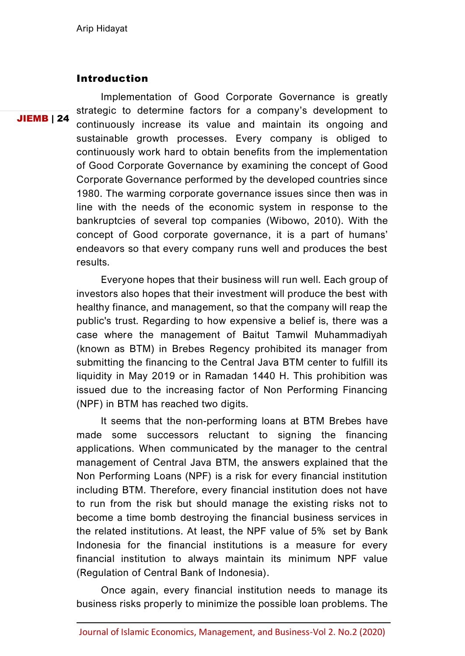## Introduction

JIEMB | 24

Implementation of Good Corporate Governance is greatly strategic to determine factors for a company's development to continuously increase its value and maintain its ongoing and sustainable growth processes. Every company is obliged to continuously work hard to obtain benefits from the implementation of Good Corporate Governance by examining the concept of Good Corporate Governance performed by the developed countries since 1980. The warming corporate governance issues since then was in line with the needs of the economic system in response to the bankruptcies of several top companies (Wibowo, 2010). With the concept of Good corporate governance, it is a part of humans' endeavors so that every company runs well and produces the best results.

Everyone hopes that their business will run well. Each group of investors also hopes that their investment will produce the best with healthy finance, and management, so that the company will reap the public's trust. Regarding to how expensive a belief is, there was a case where the management of Baitut Tamwil Muhammadiyah (known as BTM) in Brebes Regency prohibited its manager from submitting the financing to the Central Java BTM center to fulfill its liquidity in May 2019 or in Ramadan 1440 H. This prohibition was issued due to the increasing factor of Non Performing Financing (NPF) in BTM has reached two digits.

It seems that the non-performing loans at BTM Brebes have made some successors reluctant to signing the financing applications. When communicated by the manager to the central management of Central Java BTM, the answers explained that the Non Performing Loans (NPF) is a risk for every financial institution including BTM. Therefore, every financial institution does not have to run from the risk but should manage the existing risks not to become a time bomb destroying the financial business services in the related institutions. At least, the NPF value of 5% set by Bank Indonesia for the financial institutions is a measure for every financial institution to always maintain its minimum NPF value (Regulation of Central Bank of Indonesia).

Once again, every financial institution needs to manage its business risks properly to minimize the possible loan problems. The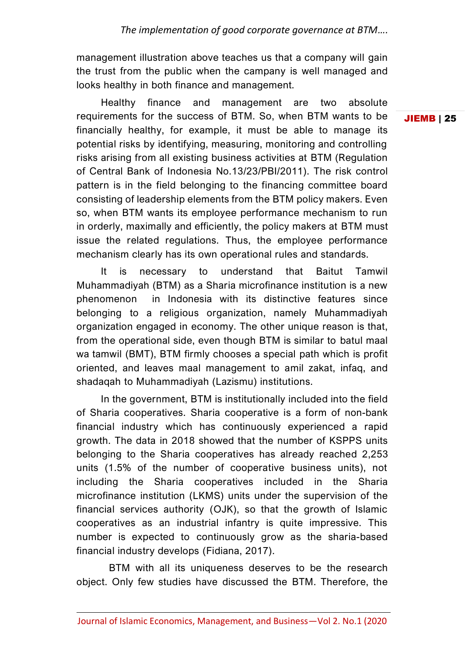management illustration above teaches us that a company will gain the trust from the public when the campany is well managed and looks healthy in both finance and management.

Healthy finance and management are two absolute requirements for the success of BTM. So, when BTM wants to be financially healthy, for example, it must be able to manage its potential risks by identifying, measuring, monitoring and controlling risks arising from all existing business activities at BTM (Regulation of Central Bank of Indonesia No.13/23/PBI/2011). The risk control pattern is in the field belonging to the financing committee board consisting of leadership elements from the BTM policy makers. Even so, when BTM wants its employee performance mechanism to run in orderly, maximally and efficiently, the policy makers at BTM must issue the related regulations. Thus, the employee performance mechanism clearly has its own operational rules and standards.

It is necessary to understand that Baitut Tamwil Muhammadiyah (BTM) as a Sharia microfinance institution is a new phenomenon in Indonesia with its distinctive features since belonging to a religious organization, namely Muhammadiyah organization engaged in economy. The other unique reason is that, from the operational side, even though BTM is similar to batul maal wa tamwil (BMT), BTM firmly chooses a special path which is profit oriented, and leaves maal management to amil zakat, infaq, and shadaqah to Muhammadiyah (Lazismu) institutions.

In the government, BTM is institutionally included into the field of Sharia cooperatives. Sharia cooperative is a form of non-bank financial industry which has continuously experienced a rapid growth. The data in 2018 showed that the number of KSPPS units belonging to the Sharia cooperatives has already reached 2,253 units (1.5% of the number of cooperative business units), not including the Sharia cooperatives included in the Sharia microfinance institution (LKMS) units under the supervision of the financial services authority (OJK), so that the growth of Islamic cooperatives as an industrial infantry is quite impressive. This number is expected to continuously grow as the sharia-based financial industry develops (Fidiana, 2017).

BTM with all its uniqueness deserves to be the research object. Only few studies have discussed the BTM. Therefore, the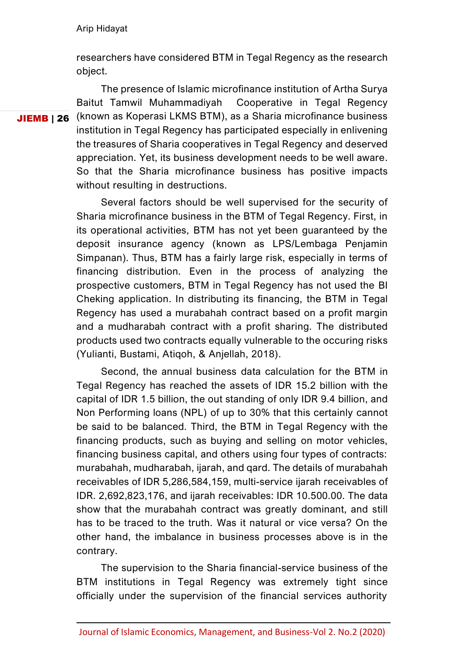researchers have considered BTM in Tegal Regency as the research object.

JIEMB | 26 (known as Koperasi LKMS BTM), as a Sharia microfinance business The presence of Islamic microfinance institution of Artha Surya Baitut Tamwil Muhammadiyah Cooperative in Tegal Regency institution in Tegal Regency has participated especially in enlivening the treasures of Sharia cooperatives in Tegal Regency and deserved appreciation. Yet, its business development needs to be well aware. So that the Sharia microfinance business has positive impacts without resulting in destructions.

> Several factors should be well supervised for the security of Sharia microfinance business in the BTM of Tegal Regency. First, in its operational activities, BTM has not yet been guaranteed by the deposit insurance agency (known as LPS/Lembaga Penjamin Simpanan). Thus, BTM has a fairly large risk, especially in terms of financing distribution. Even in the process of analyzing the prospective customers, BTM in Tegal Regency has not used the BI Cheking application. In distributing its financing, the BTM in Tegal Regency has used a murabahah contract based on a profit margin and a mudharabah contract with a profit sharing. The distributed products used two contracts equally vulnerable to the occuring risks (Yulianti, Bustami, Atiqoh, & Anjellah, 2018).

> Second, the annual business data calculation for the BTM in Tegal Regency has reached the assets of IDR 15.2 billion with the capital of IDR 1.5 billion, the out standing of only IDR 9.4 billion, and Non Performing loans (NPL) of up to 30% that this certainly cannot be said to be balanced. Third, the BTM in Tegal Regency with the financing products, such as buying and selling on motor vehicles, financing business capital, and others using four types of contracts: murabahah, mudharabah, ijarah, and qard. The details of murabahah receivables of IDR 5,286,584,159, multi-service ijarah receivables of IDR. 2,692,823,176, and ijarah receivables: IDR 10.500.00. The data show that the murabahah contract was greatly dominant, and still has to be traced to the truth. Was it natural or vice versa? On the other hand, the imbalance in business processes above is in the contrary.

> The supervision to the Sharia financial-service business of the BTM institutions in Tegal Regency was extremely tight since officially under the supervision of the financial services authority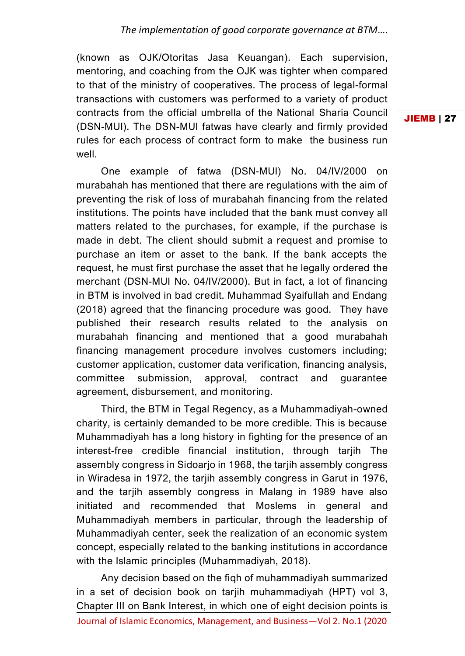(known as OJK/Otoritas Jasa Keuangan). Each supervision, mentoring, and coaching from the OJK was tighter when compared to that of the ministry of cooperatives. The process of legal-formal transactions with customers was performed to a variety of product contracts from the official umbrella of the National Sharia Council (DSN-MUI). The DSN-MUI fatwas have clearly and firmly provided rules for each process of contract form to make the business run well.

JIEMB | 27

One example of fatwa (DSN-MUI) No. 04/IV/2000 on murabahah has mentioned that there are regulations with the aim of preventing the risk of loss of murabahah financing from the related institutions. The points have included that the bank must convey all matters related to the purchases, for example, if the purchase is made in debt. The client should submit a request and promise to purchase an item or asset to the bank. If the bank accepts the request, he must first purchase the asset that he legally ordered the merchant (DSN-MUI No. 04/IV/2000). But in fact, a lot of financing in BTM is involved in bad credit. Muhammad Syaifullah and Endang (2018) agreed that the financing procedure was good. They have published their research results related to the analysis on murabahah financing and mentioned that a good murabahah financing management procedure involves customers including; customer application, customer data verification, financing analysis, committee submission, approval, contract and guarantee agreement, disbursement, and monitoring.

Third, the BTM in Tegal Regency, as a Muhammadiyah-owned charity, is certainly demanded to be more credible. This is because Muhammadiyah has a long history in fighting for the presence of an interest-free credible financial institution, through tarjih The assembly congress in Sidoarjo in 1968, the tarjih assembly congress in Wiradesa in 1972, the tarjih assembly congress in Garut in 1976, and the tarjih assembly congress in Malang in 1989 have also initiated and recommended that Moslems in general and Muhammadiyah members in particular, through the leadership of Muhammadiyah center, seek the realization of an economic system concept, especially related to the banking institutions in accordance with the Islamic principles (Muhammadiyah, 2018).

Any decision based on the fiqh of muhammadiyah summarized in a set of decision book on tarjih muhammadiyah (HPT) vol 3, Chapter III on Bank Interest, in which one of eight decision points is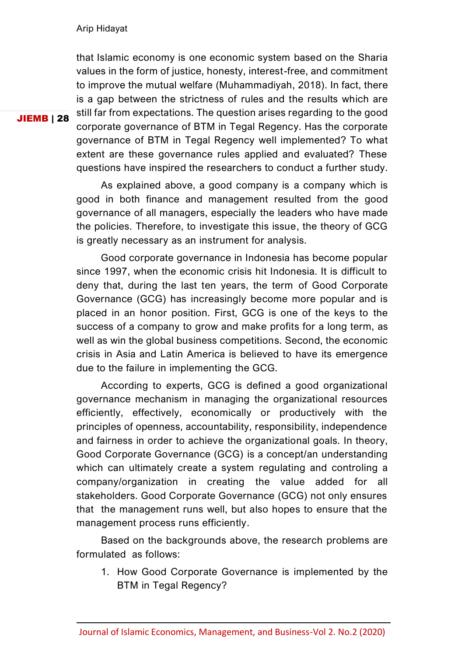that Islamic economy is one economic system based on the Sharia values in the form of justice, honesty, interest-free, and commitment to improve the mutual welfare (Muhammadiyah, 2018). In fact, there is a gap between the strictness of rules and the results which are still far from expectations. The question arises regarding to the good corporate governance of BTM in Tegal Regency. Has the corporate governance of BTM in Tegal Regency well implemented? To what extent are these governance rules applied and evaluated? These questions have inspired the researchers to conduct a further study.

As explained above, a good company is a company which is good in both finance and management resulted from the good governance of all managers, especially the leaders who have made the policies. Therefore, to investigate this issue, the theory of GCG is greatly necessary as an instrument for analysis.

Good corporate governance in Indonesia has become popular since 1997, when the economic crisis hit Indonesia. It is difficult to deny that, during the last ten years, the term of Good Corporate Governance (GCG) has increasingly become more popular and is placed in an honor position. First, GCG is one of the keys to the success of a company to grow and make profits for a long term, as well as win the global business competitions. Second, the economic crisis in Asia and Latin America is believed to have its emergence due to the failure in implementing the GCG.

According to experts, GCG is defined a good organizational governance mechanism in managing the organizational resources efficiently, effectively, economically or productively with the principles of openness, accountability, responsibility, independence and fairness in order to achieve the organizational goals. In theory, Good Corporate Governance (GCG) is a concept/an understanding which can ultimately create a system regulating and controling a company/organization in creating the value added for all stakeholders. Good Corporate Governance (GCG) not only ensures that the management runs well, but also hopes to ensure that the management process runs efficiently.

Based on the backgrounds above, the research problems are formulated as follows:

1. How Good Corporate Governance is implemented by the BTM in Tegal Regency?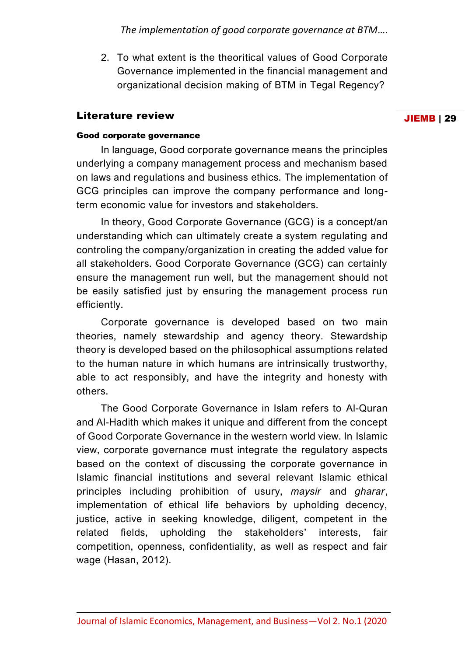*The implementation of good corporate governance at BTM….*

2. To what extent is the theoritical values of Good Corporate Governance implemented in the financial management and organizational decision making of BTM in Tegal Regency?

## Literature review

#### JIEMB | 29

#### Good corporate governance

In language, Good corporate governance means the principles underlying a company management process and mechanism based on laws and regulations and business ethics. The implementation of GCG principles can improve the company performance and longterm economic value for investors and stakeholders.

In theory, Good Corporate Governance (GCG) is a concept/an understanding which can ultimately create a system regulating and controling the company/organization in creating the added value for all stakeholders. Good Corporate Governance (GCG) can certainly ensure the management run well, but the management should not be easily satisfied just by ensuring the management process run efficiently.

Corporate governance is developed based on two main theories, namely stewardship and agency theory. Stewardship theory is developed based on the philosophical assumptions related to the human nature in which humans are intrinsically trustworthy, able to act responsibly, and have the integrity and honesty with others.

The Good Corporate Governance in Islam refers to Al-Quran and Al-Hadith which makes it unique and different from the concept of Good Corporate Governance in the western world view. In Islamic view, corporate governance must integrate the regulatory aspects based on the context of discussing the corporate governance in Islamic financial institutions and several relevant Islamic ethical principles including prohibition of usury, *maysir* and *gharar*, implementation of ethical life behaviors by upholding decency, justice, active in seeking knowledge, diligent, competent in the related fields, upholding the stakeholders' interests, fair competition, openness, confidentiality, as well as respect and fair wage (Hasan, 2012).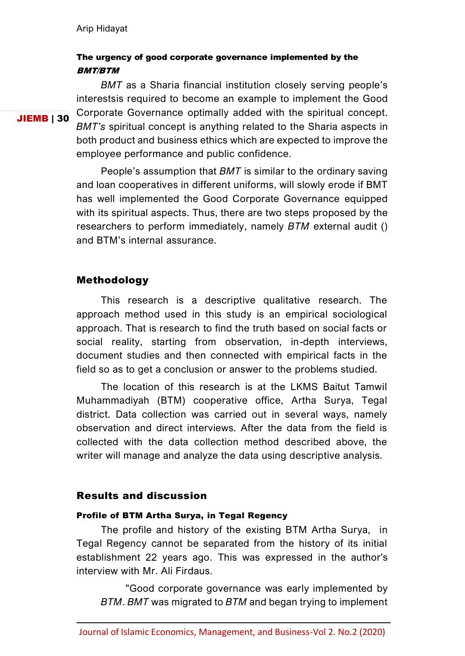## The urgency of good corporate governance implemented by the BMT/BTM

JIEMB | 30

*BMT* as a Sharia financial institution closely serving people's interestsis required to become an example to implement the Good Corporate Governance optimally added with the spiritual concept. *BMT's* spiritual concept is anything related to the Sharia aspects in both product and business ethics which are expected to improve the employee performance and public confidence.

People's assumption that *BMT* is similar to the ordinary saving and loan cooperatives in different uniforms, will slowly erode if BMT has well implemented the Good Corporate Governance equipped with its spiritual aspects. Thus, there are two steps proposed by the researchers to perform immediately, namely *BTM* external audit () and BTM's internal assurance.

#### Methodology

This research is a descriptive qualitative research. The approach method used in this study is an empirical sociological approach. That is research to find the truth based on social facts or social reality, starting from observation, in-depth interviews, document studies and then connected with empirical facts in the field so as to get a conclusion or answer to the problems studied.

The location of this research is at the LKMS Baitut Tamwil Muhammadiyah (BTM) cooperative office, Artha Surya, Tegal district. Data collection was carried out in several ways, namely observation and direct interviews. After the data from the field is collected with the data collection method described above, the writer will manage and analyze the data using descriptive analysis.

### Results and discussion

#### Profile of BTM Artha Surya, in Tegal Regency

The profile and history of the existing BTM Artha Surya, in Tegal Regency cannot be separated from the history of its initial establishment 22 years ago. This was expressed in the author's interview with Mr. Ali Firdaus.

"Good corporate governance was early implemented by *BTM*. *BMT* was migrated to *BTM* and began trying to implement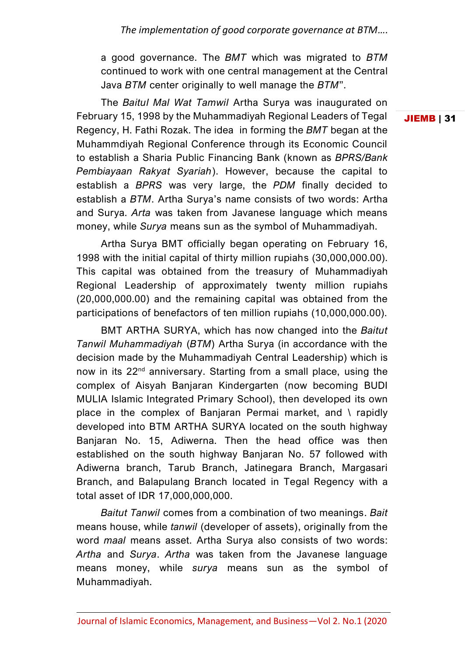a good governance. The *BMT* which was migrated to *BTM* continued to work with one central management at the Central Java *BTM* center originally to well manage the *BTM*".

The *Baitul Mal Wat Tamwil* Artha Surya was inaugurated on February 15, 1998 by the Muhammadiyah Regional Leaders of Tegal Regency, H. Fathi Rozak. The idea in forming the *BMT* began at the Muhammdiyah Regional Conference through its Economic Council to establish a Sharia Public Financing Bank (known as *BPRS/Bank Pembiayaan Rakyat Syariah*). However, because the capital to establish a *BPRS* was very large, the *PDM* finally decided to establish a *BTM*. Artha Surya's name consists of two words: Artha and Surya. *Arta* was taken from Javanese language which means money, while *Surya* means sun as the symbol of Muhammadiyah.

Artha Surya BMT officially began operating on February 16, 1998 with the initial capital of thirty million rupiahs (30,000,000.00). This capital was obtained from the treasury of Muhammadiyah Regional Leadership of approximately twenty million rupiahs (20,000,000.00) and the remaining capital was obtained from the participations of benefactors of ten million rupiahs (10,000,000.00).

BMT ARTHA SURYA, which has now changed into the *Baitut Tanwil Muhammadiyah* (*BTM*) Artha Surya (in accordance with the decision made by the Muhammadiyah Central Leadership) which is now in its 22<sup>nd</sup> anniversary. Starting from a small place, using the complex of Aisyah Banjaran Kindergarten (now becoming BUDI MULIA Islamic Integrated Primary School), then developed its own place in the complex of Banjaran Permai market, and \ rapidly developed into BTM ARTHA SURYA located on the south highway Banjaran No. 15, Adiwerna. Then the head office was then established on the south highway Banjaran No. 57 followed with Adiwerna branch, Tarub Branch, Jatinegara Branch, Margasari Branch, and Balapulang Branch located in Tegal Regency with a total asset of IDR 17,000,000,000.

*Baitut Tanwil* comes from a combination of two meanings. *Bait* means house, while *tanwil* (developer of assets), originally from the word *maal* means asset. Artha Surya also consists of two words: *Artha* and *Surya*. *Artha* was taken from the Javanese language means money, while *surya* means sun as the symbol of Muhammadiyah.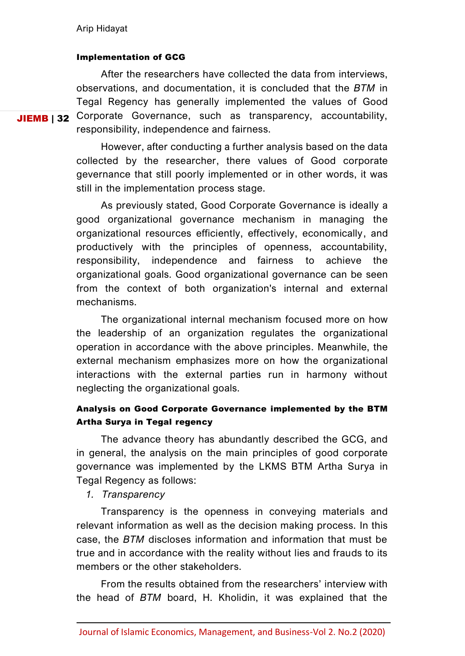#### Implementation of GCG

JIEMB | 32 Corporate Governance, such as transparency, accountability, After the researchers have collected the data from interviews, observations, and documentation, it is concluded that the *BTM* in Tegal Regency has generally implemented the values of Good responsibility, independence and fairness.

> However, after conducting a further analysis based on the data collected by the researcher, there values of Good corporate gevernance that still poorly implemented or in other words, it was still in the implementation process stage.

> As previously stated, Good Corporate Governance is ideally a good organizational governance mechanism in managing the organizational resources efficiently, effectively, economically, and productively with the principles of openness, accountability, responsibility, independence and fairness to achieve the organizational goals. Good organizational governance can be seen from the context of both organization's internal and external mechanisms.

> The organizational internal mechanism focused more on how the leadership of an organization regulates the organizational operation in accordance with the above principles. Meanwhile, the external mechanism emphasizes more on how the organizational interactions with the external parties run in harmony without neglecting the organizational goals.

## Analysis on Good Corporate Governance implemented by the BTM Artha Surya in Tegal regency

The advance theory has abundantly described the GCG, and in general, the analysis on the main principles of good corporate governance was implemented by the LKMS BTM Artha Surya in Tegal Regency as follows:

*1. Transparency*

Transparency is the openness in conveying materials and relevant information as well as the decision making process. In this case, the *BTM* discloses information and information that must be true and in accordance with the reality without lies and frauds to its members or the other stakeholders.

From the results obtained from the researchers' interview with the head of *BTM* board, H. Kholidin, it was explained that the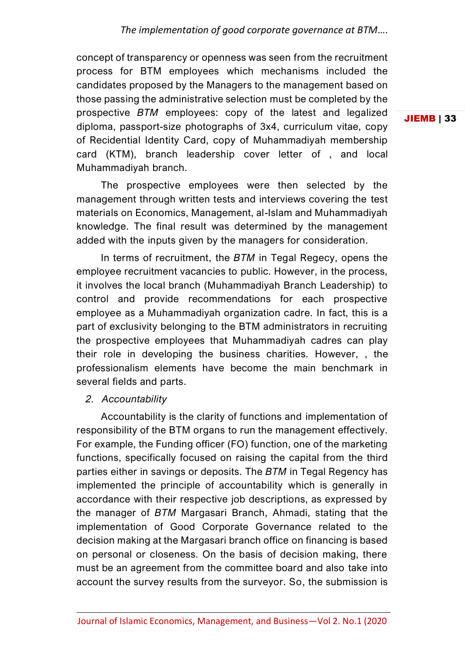*The implementation of good corporate governance at BTM….*

concept of transparency or openness was seen from the recruitment process for BTM employees which mechanisms included the candidates proposed by the Managers to the management based on those passing the administrative selection must be completed by the prospective *BTM* employees: copy of the latest and legalized diploma, passport-size photographs of 3x4, curriculum vitae, copy of Recidential Identity Card, copy of Muhammadiyah membership card (KTM), branch leadership cover letter of , and local Muhammadiyah branch.

The prospective employees were then selected by the management through written tests and interviews covering the test materials on Economics, Management, al-Islam and Muhammadiyah knowledge. The final result was determined by the management added with the inputs given by the managers for consideration.

In terms of recruitment, the *BTM* in Tegal Regecy, opens the employee recruitment vacancies to public. However, in the process, it involves the local branch (Muhammadiyah Branch Leadership) to control and provide recommendations for each prospective employee as a Muhammadiyah organization cadre. In fact, this is a part of exclusivity belonging to the BTM administrators in recruiting the prospective employees that Muhammadiyah cadres can play their role in developing the business charities. However, , the professionalism elements have become the main benchmark in several fields and parts.

*2. Accountability*

Accountability is the clarity of functions and implementation of responsibility of the BTM organs to run the management effectively. For example, the Funding officer (FO) function, one of the marketing functions, specifically focused on raising the capital from the third parties either in savings or deposits. The *BTM* in Tegal Regency has implemented the principle of accountability which is generally in accordance with their respective job descriptions, as expressed by the manager of *BTM* Margasari Branch, Ahmadi, stating that the implementation of Good Corporate Governance related to the decision making at the Margasari branch office on financing is based on personal or closeness. On the basis of decision making, there must be an agreement from the committee board and also take into account the survey results from the surveyor. So, the submission is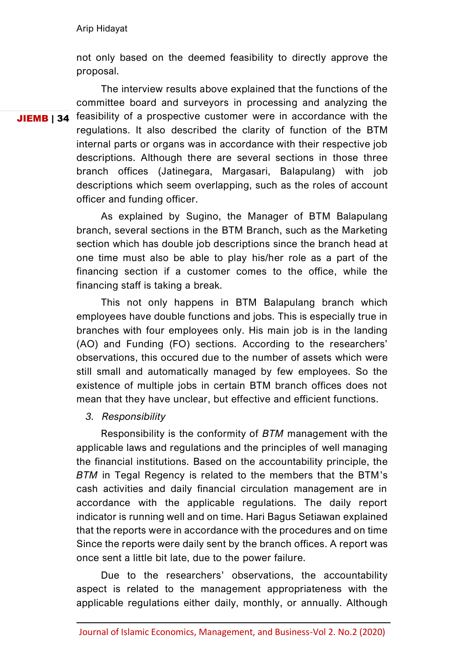not only based on the deemed feasibility to directly approve the proposal.

JIEMB | 34 feasibility of a prospective customer were in accordance with the The interview results above explained that the functions of the committee board and surveyors in processing and analyzing the regulations. It also described the clarity of function of the BTM internal parts or organs was in accordance with their respective job descriptions. Although there are several sections in those three branch offices (Jatinegara, Margasari, Balapulang) with job descriptions which seem overlapping, such as the roles of account officer and funding officer.

> As explained by Sugino, the Manager of BTM Balapulang branch, several sections in the BTM Branch, such as the Marketing section which has double job descriptions since the branch head at one time must also be able to play his/her role as a part of the financing section if a customer comes to the office, while the financing staff is taking a break.

> This not only happens in BTM Balapulang branch which employees have double functions and jobs. This is especially true in branches with four employees only. His main job is in the landing (AO) and Funding (FO) sections. According to the researchers' observations, this occured due to the number of assets which were still small and automatically managed by few employees. So the existence of multiple jobs in certain BTM branch offices does not mean that they have unclear, but effective and efficient functions.

*3. Responsibility*

Responsibility is the conformity of *BTM* management with the applicable laws and regulations and the principles of well managing the financial institutions. Based on the accountability principle, the *BTM* in Tegal Regency is related to the members that the BTM's cash activities and daily financial circulation management are in accordance with the applicable regulations. The daily report indicator is running well and on time. Hari Bagus Setiawan explained that the reports were in accordance with the procedures and on time Since the reports were daily sent by the branch offices. A report was once sent a little bit late, due to the power failure.

Due to the researchers' observations, the accountability aspect is related to the management appropriateness with the applicable regulations either daily, monthly, or annually. Although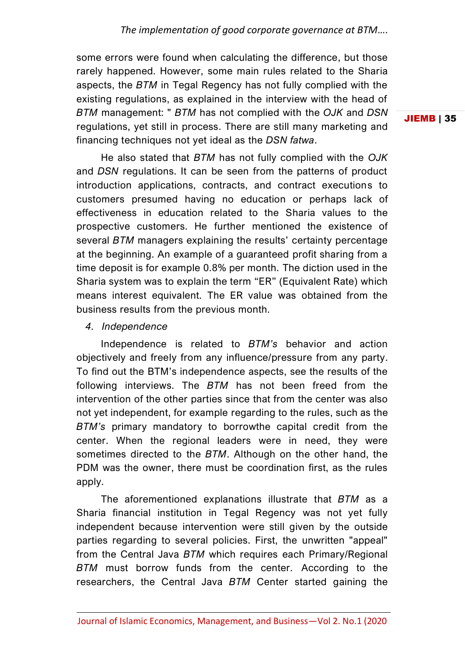some errors were found when calculating the difference, but those rarely happened. However, some main rules related to the Sharia aspects, the *BTM* in Tegal Regency has not fully complied with the existing regulations, as explained in the interview with the head of *BTM* management: " *BTM* has not complied with the *OJK* and *DSN* regulations, yet still in process. There are still many marketing and financing techniques not yet ideal as the *DSN fatwa*.

He also stated that *BTM* has not fully complied with the *OJK* and *DSN* regulations. It can be seen from the patterns of product introduction applications, contracts, and contract executions to customers presumed having no education or perhaps lack of effectiveness in education related to the Sharia values to the prospective customers. He further mentioned the existence of several *BTM* managers explaining the results' certainty percentage at the beginning. An example of a guaranteed profit sharing from a time deposit is for example 0.8% per month. The diction used in the Sharia system was to explain the term "ER" (Equivalent Rate) which means interest equivalent. The ER value was obtained from the business results from the previous month.

### *4. Independence*

Independence is related to *BTM's* behavior and action objectively and freely from any influence/pressure from any party. To find out the BTM's independence aspects, see the results of the following interviews. The *BTM* has not been freed from the intervention of the other parties since that from the center was also not yet independent, for example regarding to the rules, such as the *BTM's* primary mandatory to borrowthe capital credit from the center. When the regional leaders were in need, they were sometimes directed to the *BTM*. Although on the other hand, the PDM was the owner, there must be coordination first, as the rules apply.

The aforementioned explanations illustrate that *BTM* as a Sharia financial institution in Tegal Regency was not yet fully independent because intervention were still given by the outside parties regarding to several policies. First, the unwritten "appeal" from the Central Java *BTM* which requires each Primary/Regional *BTM* must borrow funds from the center. According to the researchers, the Central Java *BTM* Center started gaining the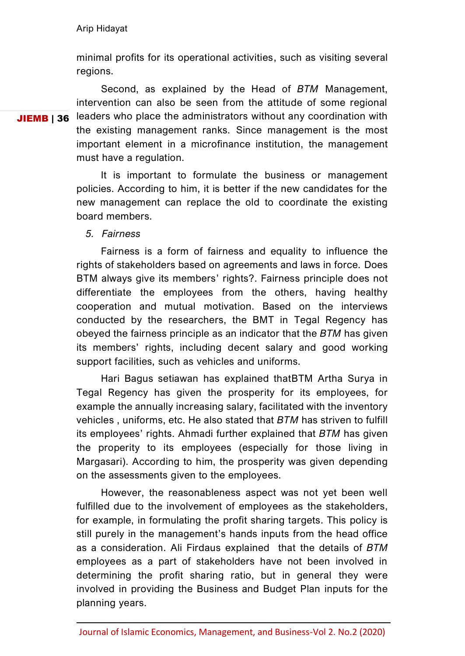minimal profits for its operational activities, such as visiting several regions.

JIEMB | 36 Second, as explained by the Head of *BTM* Management, intervention can also be seen from the attitude of some regional leaders who place the administrators without any coordination with the existing management ranks. Since management is the most important element in a microfinance institution, the management must have a regulation.

> It is important to formulate the business or management policies. According to him, it is better if the new candidates for the new management can replace the old to coordinate the existing board members.

*5. Fairness*

Fairness is a form of fairness and equality to influence the rights of stakeholders based on agreements and laws in force. Does BTM always give its members' rights?. Fairness principle does not differentiate the employees from the others, having healthy cooperation and mutual motivation. Based on the interviews conducted by the researchers, the BMT in Tegal Regency has obeyed the fairness principle as an indicator that the *BTM* has given its members' rights, including decent salary and good working support facilities, such as vehicles and uniforms.

Hari Bagus setiawan has explained thatBTM Artha Surya in Tegal Regency has given the prosperity for its employees, for example the annually increasing salary, facilitated with the inventory vehicles , uniforms, etc. He also stated that *BTM* has striven to fulfill its employees' rights. Ahmadi further explained that *BTM* has given the properity to its employees (especially for those living in Margasari). According to him, the prosperity was given depending on the assessments given to the employees.

However, the reasonableness aspect was not yet been well fulfilled due to the involvement of employees as the stakeholders, for example, in formulating the profit sharing targets. This policy is still purely in the management's hands inputs from the head office as a consideration. Ali Firdaus explained that the details of *BTM* employees as a part of stakeholders have not been involved in determining the profit sharing ratio, but in general they were involved in providing the Business and Budget Plan inputs for the planning years.